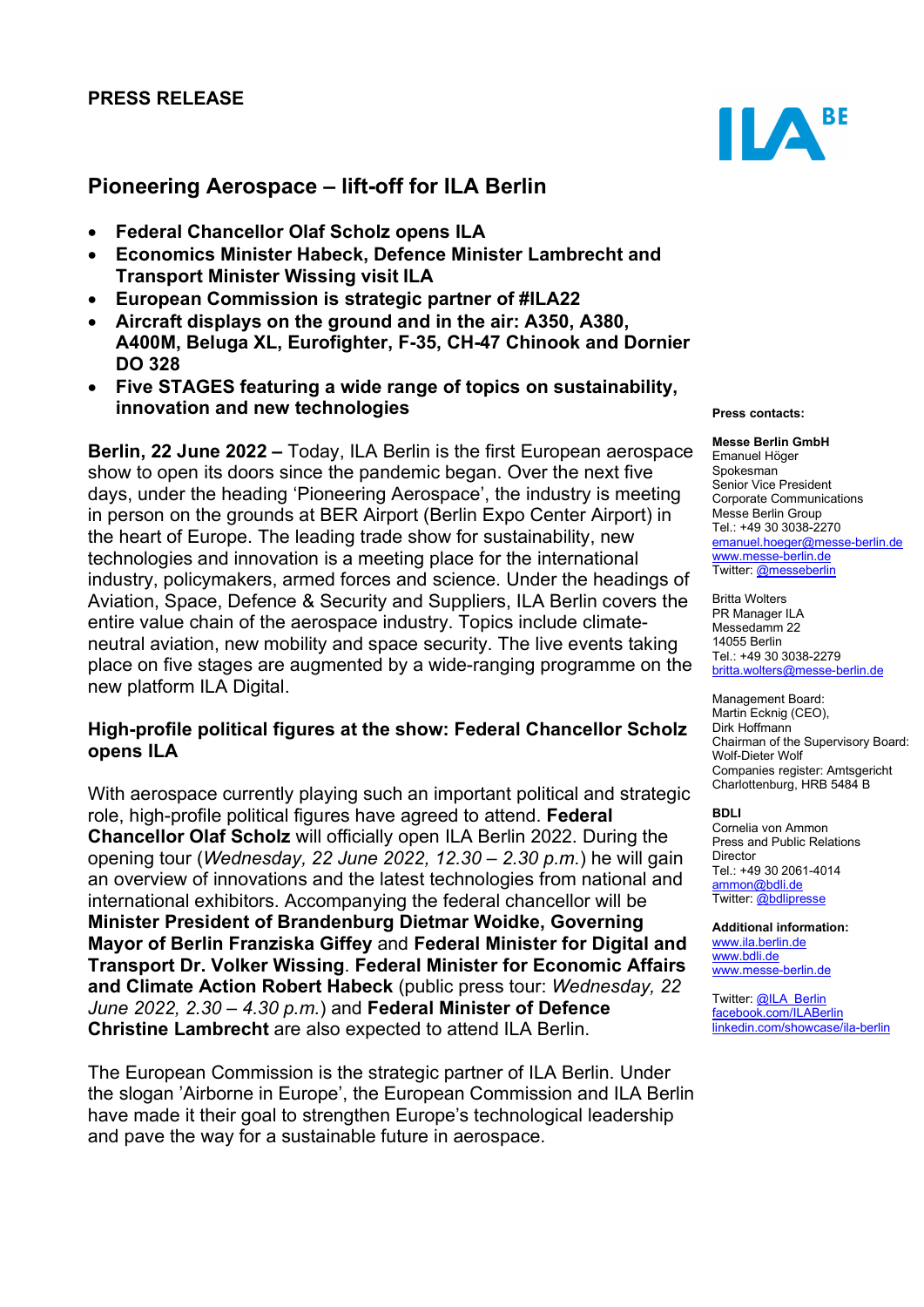## PRESS RELEASE

# Pioneering Aerospace – lift-off for ILA Berlin

- Federal Chancellor Olaf Scholz opens ILA
- Economics Minister Habeck, Defence Minister Lambrecht and Transport Minister Wissing visit ILA
- European Commission is strategic partner of #ILA22
- Aircraft displays on the ground and in the air: A350, A380, A400M, Beluga XL, Eurofighter, F-35, CH-47 Chinook and Dornier DO 328
- Five STAGES featuring a wide range of topics on sustainability, innovation and new technologies

Berlin, 22 June 2022 – Today, ILA Berlin is the first European aerospace show to open its doors since the pandemic began. Over the next five days, under the heading 'Pioneering Aerospace', the industry is meeting in person on the grounds at BER Airport (Berlin Expo Center Airport) in the heart of Europe. The leading trade show for sustainability, new technologies and innovation is a meeting place for the international industry, policymakers, armed forces and science. Under the headings of Aviation, Space, Defence & Security and Suppliers, ILA Berlin covers the entire value chain of the aerospace industry. Topics include climateneutral aviation, new mobility and space security. The live events taking place on five stages are augmented by a wide-ranging programme on the new platform ILA Digital.

### High-profile political figures at the show: Federal Chancellor Scholz opens ILA

With aerospace currently playing such an important political and strategic role, high-profile political figures have agreed to attend. Federal Chancellor Olaf Scholz will officially open ILA Berlin 2022. During the opening tour (Wednesday, 22 June 2022, 12.30 – 2.30 p.m.) he will gain an overview of innovations and the latest technologies from national and international exhibitors. Accompanying the federal chancellor will be Minister President of Brandenburg Dietmar Woidke, Governing Mayor of Berlin Franziska Giffey and Federal Minister for Digital and Transport Dr. Volker Wissing. Federal Minister for Economic Affairs and Climate Action Robert Habeck (public press tour: Wednesday, 22 June 2022, 2.30 – 4.30  $p.m.$ ) and Federal Minister of Defence Christine Lambrecht are also expected to attend ILA Berlin.

The European Commission is the strategic partner of ILA Berlin. Under the slogan 'Airborne in Europe', the European Commission and ILA Berlin have made it their goal to strengthen Europe's technological leadership and pave the way for a sustainable future in aerospace.



#### Press contacts:

Messe Berlin GmbH Emanuel Höger Spokesman Senior Vice President Corporate Communications Messe Berlin Group Tel.: +49 30 3038-2270 emanuel.hoeger@messe-berlin.de www.messe-berlin.de Twitter: @messeberlin

Britta Wolters PR Manager ILA Messedamm 22 14055 Berlin Tel.: +49 30 3038-2279 britta.wolters@messe-berlin.de

Management Board: Martin Ecknig (CEO), Dirk Hoffmann Chairman of the Supervisory Board: Wolf-Dieter Wolf Companies register: Amtsgericht Charlottenburg, HRB 5484 B

#### BDLI

Cornelia von Ammon Press and Public Relations Director Tel.: +49 30 2061-4014 ammon@bdli.de Twitter: @bdlipresse

Additional information: www.ila.berlin.de www.bdli.de www.messe-berlin.de

Twitter: @ILA\_Berlin facebook.com/ILABerlin linkedin.com/showcase/ila-berlin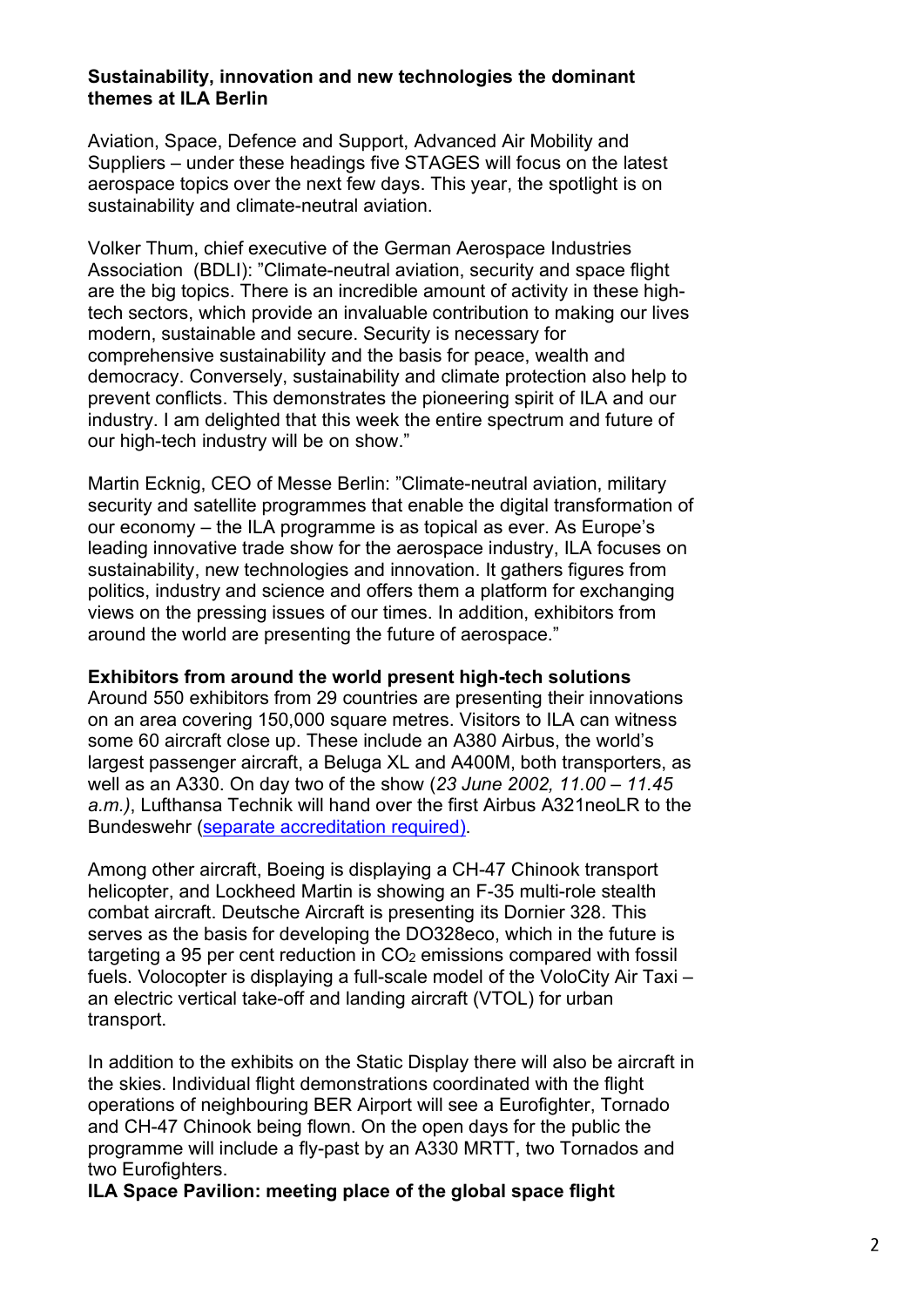## Sustainability, innovation and new technologies the dominant themes at ILA Berlin

Aviation, Space, Defence and Support, Advanced Air Mobility and Suppliers – under these headings five STAGES will focus on the latest aerospace topics over the next few days. This year, the spotlight is on sustainability and climate-neutral aviation.

Volker Thum, chief executive of the German Aerospace Industries Association (BDLI): "Climate-neutral aviation, security and space flight are the big topics. There is an incredible amount of activity in these hightech sectors, which provide an invaluable contribution to making our lives modern, sustainable and secure. Security is necessary for comprehensive sustainability and the basis for peace, wealth and democracy. Conversely, sustainability and climate protection also help to prevent conflicts. This demonstrates the pioneering spirit of ILA and our industry. I am delighted that this week the entire spectrum and future of our high-tech industry will be on show."

Martin Ecknig, CEO of Messe Berlin: "Climate-neutral aviation, military security and satellite programmes that enable the digital transformation of our economy – the ILA programme is as topical as ever. As Europe's leading innovative trade show for the aerospace industry, ILA focuses on sustainability, new technologies and innovation. It gathers figures from politics, industry and science and offers them a platform for exchanging views on the pressing issues of our times. In addition, exhibitors from around the world are presenting the future of aerospace."

## Exhibitors from around the world present high-tech solutions

Around 550 exhibitors from 29 countries are presenting their innovations on an area covering 150,000 square metres. Visitors to ILA can witness some 60 aircraft close up. These include an A380 Airbus, the world's largest passenger aircraft, a Beluga XL and A400M, both transporters, as well as an A330. On day two of the show (23 June 2002, 11.00 – 11.45 a.m.), Lufthansa Technik will hand over the first Airbus A321neoLR to the Bundeswehr (separate accreditation required).

Among other aircraft, Boeing is displaying a CH-47 Chinook transport helicopter, and Lockheed Martin is showing an F-35 multi-role stealth combat aircraft. Deutsche Aircraft is presenting its Dornier 328. This serves as the basis for developing the DO328eco, which in the future is targeting a 95 per cent reduction in CO<sub>2</sub> emissions compared with fossil fuels. Volocopter is displaying a full-scale model of the VoloCity Air Taxi – an electric vertical take-off and landing aircraft (VTOL) for urban transport.

In addition to the exhibits on the Static Display there will also be aircraft in the skies. Individual flight demonstrations coordinated with the flight operations of neighbouring BER Airport will see a Eurofighter, Tornado and CH-47 Chinook being flown. On the open days for the public the programme will include a fly-past by an A330 MRTT, two Tornados and two Eurofighters.

ILA Space Pavilion: meeting place of the global space flight